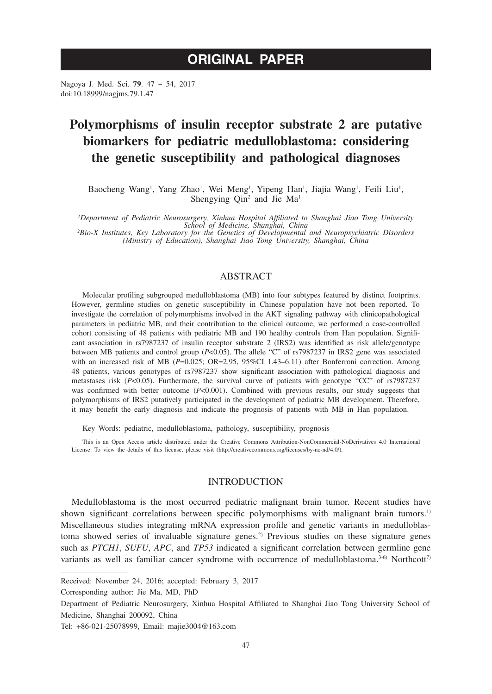# **ORIGINAL PAPER**

Nagoya J. Med. Sci. **79**. 47 ~ 54, 2017 doi:10.18999/nagjms.79.1.47

# **Polymorphisms of insulin receptor substrate 2 are putative biomarkers for pediatric medulloblastoma: considering the genetic susceptibility and pathological diagnoses**

Baocheng Wang<sup>1</sup>, Yang Zhao<sup>1</sup>, Wei Meng<sup>1</sup>, Yipeng Han<sup>1</sup>, Jiajia Wang<sup>1</sup>, Feili Liu<sup>1</sup>, Shengying Qin<sup>2</sup> and Jie Ma<sup>1</sup>

*1 Department of Pediatric Neurosurgery, Xinhua Hospital Affiliated to Shanghai Jiao Tong University School of Medicine, Shanghai, China <sup>2</sup>*

*Bio-X Institutes, Key Laboratory for the Genetics of Developmental and Neuropsychiatric Disorders (Ministry of Education), Shanghai Jiao Tong University, Shanghai, China*

# ABSTRACT

Molecular profiling subgrouped medulloblastoma (MB) into four subtypes featured by distinct footprints. However, germline studies on genetic susceptibility in Chinese population have not been reported. To investigate the correlation of polymorphisms involved in the AKT signaling pathway with clinicopathological parameters in pediatric MB, and their contribution to the clinical outcome, we performed a case-controlled cohort consisting of 48 patients with pediatric MB and 190 healthy controls from Han population. Significant association in rs7987237 of insulin receptor substrate 2 (IRS2) was identified as risk allele/genotype between MB patients and control group (*P*<0.05). The allele "C" of rs7987237 in IRS2 gene was associated with an increased risk of MB ( $P=0.025$ ; OR=2.95, 95%CI 1.43-6.11) after Bonferroni correction. Among 48 patients, various genotypes of rs7987237 show significant association with pathological diagnosis and metastases risk (*P*<0.05). Furthermore, the survival curve of patients with genotype "CC" of rs7987237 was confirmed with better outcome ( $P<0.001$ ). Combined with previous results, our study suggests that polymorphisms of IRS2 putatively participated in the development of pediatric MB development. Therefore, it may benefit the early diagnosis and indicate the prognosis of patients with MB in Han population.

Key Words: pediatric, medulloblastoma, pathology, susceptibility, prognosis

This is an Open Access article distributed under the Creative Commons Attribution-NonCommercial-NoDerivatives 4.0 International License. To view the details of this license, please visit (http://creativecommons.org/licenses/by-nc-nd/4.0/).

# INTRODUCTION

Medulloblastoma is the most occurred pediatric malignant brain tumor. Recent studies have shown significant correlations between specific polymorphisms with malignant brain tumors.<sup>1)</sup> Miscellaneous studies integrating mRNA expression profile and genetic variants in medulloblastoma showed series of invaluable signature genes.<sup>2)</sup> Previous studies on these signature genes such as *PTCH1*, *SUFU*, *APC*, and *TP53* indicated a significant correlation between germline gene variants as well as familiar cancer syndrome with occurrence of medulloblastoma.<sup>3-6)</sup> Northcott<sup>7</sup>

Received: November 24, 2016; accepted: February 3, 2017

Corresponding author: Jie Ma, MD, PhD

Department of Pediatric Neurosurgery, Xinhua Hospital Affiliated to Shanghai Jiao Tong University School of Medicine, Shanghai 200092, China

Tel: +86-021-25078999, Email: majie3004@163.com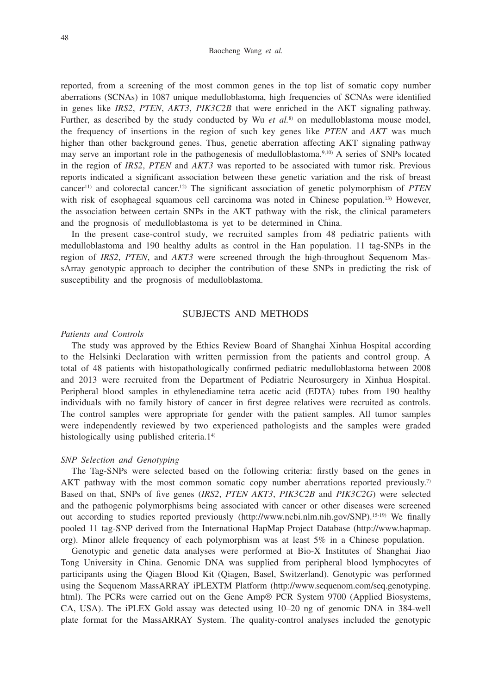reported, from a screening of the most common genes in the top list of somatic copy number aberrations (SCNAs) in 1087 unique medulloblastoma, high frequencies of SCNAs were identified in genes like *IRS2*, *PTEN*, *AKT3*, *PIK3C2B* that were enriched in the AKT signaling pathway. Further, as described by the study conducted by Wu et al.<sup>8)</sup> on medulloblastoma mouse model, the frequency of insertions in the region of such key genes like *PTEN* and *AKT* was much higher than other background genes. Thus, genetic aberration affecting AKT signaling pathway may serve an important role in the pathogenesis of medulloblastoma.9,10) A series of SNPs located in the region of *IRS2*, *PTEN* and *AKT3* was reported to be associated with tumor risk. Previous reports indicated a significant association between these genetic variation and the risk of breast cancer11) and colorectal cancer.12) The significant association of genetic polymorphism of *PTEN* with risk of esophageal squamous cell carcinoma was noted in Chinese population.<sup>13)</sup> However, the association between certain SNPs in the AKT pathway with the risk, the clinical parameters and the prognosis of medulloblastoma is yet to be determined in China.

In the present case-control study, we recruited samples from 48 pediatric patients with medulloblastoma and 190 healthy adults as control in the Han population. 11 tag-SNPs in the region of *IRS2*, *PTEN*, and *AKT3* were screened through the high-throughout Sequenom MassArray genotypic approach to decipher the contribution of these SNPs in predicting the risk of susceptibility and the prognosis of medulloblastoma.

## SUBJECTS AND METHODS

## *Patients and Controls*

The study was approved by the Ethics Review Board of Shanghai Xinhua Hospital according to the Helsinki Declaration with written permission from the patients and control group. A total of 48 patients with histopathologically confirmed pediatric medulloblastoma between 2008 and 2013 were recruited from the Department of Pediatric Neurosurgery in Xinhua Hospital. Peripheral blood samples in ethylenediamine tetra acetic acid (EDTA) tubes from 190 healthy individuals with no family history of cancer in first degree relatives were recruited as controls. The control samples were appropriate for gender with the patient samples. All tumor samples were independently reviewed by two experienced pathologists and the samples were graded histologically using published criteria.14)

#### *SNP Selection and Genotyping*

The Tag-SNPs were selected based on the following criteria: firstly based on the genes in AKT pathway with the most common somatic copy number aberrations reported previously.<sup>7)</sup> Based on that, SNPs of five genes (*IRS2*, *PTEN AKT3*, *PIK3C2B* and *PIK3C2G*) were selected and the pathogenic polymorphisms being associated with cancer or other diseases were screened out according to studies reported previously (http://www.ncbi.nlm.nih.gov/SNP).15-19) We finally pooled 11 tag-SNP derived from the International HapMap Project Database (http://www.hapmap. org). Minor allele frequency of each polymorphism was at least 5% in a Chinese population.

Genotypic and genetic data analyses were performed at Bio-X Institutes of Shanghai Jiao Tong University in China. Genomic DNA was supplied from peripheral blood lymphocytes of participants using the Qiagen Blood Kit (Qiagen, Basel, Switzerland). Genotypic was performed using the Sequenom MassARRAY iPLEXTM Platform (http://www.sequenom.com/seq.genotyping. html). The PCRs were carried out on the Gene Amp® PCR System 9700 (Applied Biosystems, CA, USA). The iPLEX Gold assay was detected using 10–20 ng of genomic DNA in 384-well plate format for the MassARRAY System. The quality-control analyses included the genotypic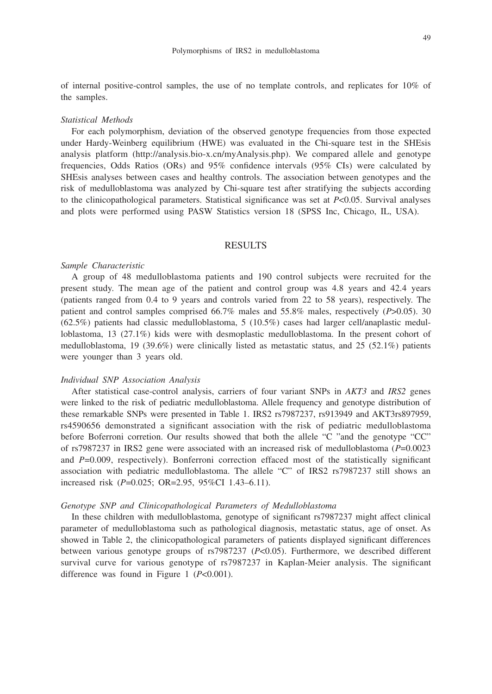of internal positive-control samples, the use of no template controls, and replicates for 10% of the samples.

### *Statistical Methods*

For each polymorphism, deviation of the observed genotype frequencies from those expected under Hardy-Weinberg equilibrium (HWE) was evaluated in the Chi-square test in the SHEsis analysis platform (http://analysis.bio-x.cn/myAnalysis.php). We compared allele and genotype frequencies, Odds Ratios (ORs) and 95% confidence intervals (95% CIs) were calculated by SHEsis analyses between cases and healthy controls. The association between genotypes and the risk of medulloblastoma was analyzed by Chi-square test after stratifying the subjects according to the clinicopathological parameters. Statistical significance was set at *P*<0.05. Survival analyses and plots were performed using PASW Statistics version 18 (SPSS Inc, Chicago, IL, USA).

# RESULTS

#### *Sample Characteristic*

A group of 48 medulloblastoma patients and 190 control subjects were recruited for the present study. The mean age of the patient and control group was 4.8 years and 42.4 years (patients ranged from 0.4 to 9 years and controls varied from 22 to 58 years), respectively. The patient and control samples comprised 66.7% males and 55.8% males, respectively (*P*>0.05). 30  $(62.5%)$  patients had classic medulloblastoma, 5 (10.5%) cases had larger cell/anaplastic medulloblastoma, 13 (27.1%) kids were with desmoplastic medulloblastoma. In the present cohort of medulloblastoma, 19 (39.6%) were clinically listed as metastatic status, and 25 (52.1%) patients were younger than 3 years old.

### *Individual SNP Association Analysis*

After statistical case-control analysis, carriers of four variant SNPs in *AKT3* and *IRS2* genes were linked to the risk of pediatric medulloblastoma. Allele frequency and genotype distribution of these remarkable SNPs were presented in Table 1. IRS2 rs7987237, rs913949 and AKT3rs897959, rs4590656 demonstrated a significant association with the risk of pediatric medulloblastoma before Boferroni corretion. Our results showed that both the allele "C "and the genotype "CC" of rs7987237 in IRS2 gene were associated with an increased risk of medulloblastoma (*P*=0.0023 and *P*=0.009, respectively). Bonferroni correction effaced most of the statistically significant association with pediatric medulloblastoma. The allele "C" of IRS2 rs7987237 still shows an increased risk (*P*=0.025; OR=2.95, 95%CI 1.43–6.11).

#### *Genotype SNP and Clinicopathological Parameters of Medulloblastoma*

In these children with medulloblastoma, genotype of significant rs7987237 might affect clinical parameter of medulloblastoma such as pathological diagnosis, metastatic status, age of onset. As showed in Table 2, the clinicopathological parameters of patients displayed significant differences between various genotype groups of rs7987237 (*P*<0.05). Furthermore, we described different survival curve for various genotype of rs7987237 in Kaplan-Meier analysis. The significant difference was found in Figure 1 (*P*<0.001).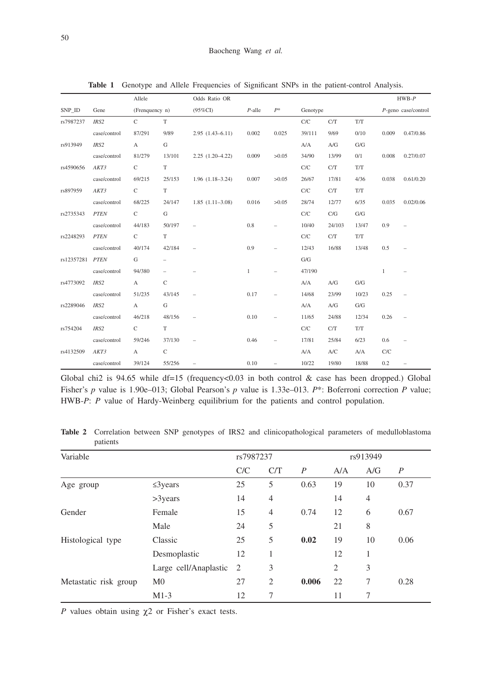|                 |              | Allele         |                          | Odds Ratio OR            |              |                          |             |        |                     |              | $HWB-P$           |
|-----------------|--------------|----------------|--------------------------|--------------------------|--------------|--------------------------|-------------|--------|---------------------|--------------|-------------------|
| SNP ID          | Gene         | (Frenquency n) |                          | $(95\%CI)$               | $P$ -alle    | $P^\ast$                 | Genotype    |        | P-geno case/control |              |                   |
| rs7987237       | IRS2         | $\mathsf{C}$   | T                        |                          |              |                          | ${\rm C/C}$ | C/T    | T/T                 |              |                   |
|                 | case/control | 87/291         | 9/89                     | $2.95(1.43-6.11)$        | 0.002        | 0.025                    | 39/111      | 9/69   | 0/10                | 0.009        | 0.47/0.86         |
| rs913949        | IRS2         | $\mathbf{A}$   | G                        |                          |              |                          | A/A         | A/G    | G/G                 |              |                   |
|                 | case/control | 81/279         | 13/101                   | $2.25(1.20-4.22)$        | 0.009        | >0.05                    | 34/90       | 13/99  | 0/1                 | 0.008        | 0.27/0.07         |
| rs4590656       | AKT3         | $\mathsf{C}$   | T                        |                          |              |                          | C/C         | C/T    | T/T                 |              |                   |
|                 | case/control | 69/215         | 25/153                   | $1.96(1.18-3.24)$        | 0.007        | >0.05                    | 26/67       | 17/81  | 4/36                | 0.038        | 0.61/0.20         |
| rs897959        | AKT3         | $\mathsf{C}$   | T                        |                          |              |                          | ${\rm C/C}$ | C/T    | T/T                 |              |                   |
|                 | case/control | 68/225         | 24/147                   | $1.85(1.11-3.08)$        | 0.016        | >0.05                    | 28/74       | 12/77  | 6/35                | 0.035        | 0.02/0.06         |
| rs2735343       | <b>PTEN</b>  | $\mathsf{C}$   | G                        |                          |              |                          | C/C         | C/G    | G/G                 |              |                   |
|                 | case/control | 44/183         | 50/197                   | $\qquad \qquad -$        | 0.8          |                          | 10/40       | 24/103 | 13/47               | 0.9          |                   |
| rs2248293       | <b>PTEN</b>  | $\mathsf{C}$   | T                        |                          |              |                          | C/C         | C/T    | T/T                 |              |                   |
|                 | case/control | 40/174         | 42/184                   | ÷.                       | 0.9          |                          | 12/43       | 16/88  | 13/48               | 0.5          |                   |
| rs12357281 PTEN |              | G              | $\overline{\phantom{0}}$ |                          |              |                          | ${\rm G/G}$ |        |                     |              |                   |
|                 | case/control | 94/380         | $\overline{\phantom{a}}$ |                          | $\mathbf{1}$ |                          | 47/190      |        |                     | $\mathbf{1}$ |                   |
| rs4773092       | IRS2         | $\mathbf{A}$   | $\mathsf{C}$             |                          |              |                          | A/A         | A/G    | G/G                 |              |                   |
|                 | case/control | 51/235         | 43/145                   | $\overline{\phantom{a}}$ | 0.17         | $\equiv$                 | 14/68       | 23/99  | 10/23               | 0.25         | $\qquad \qquad -$ |
| rs2289046       | IRS2         | $\mathbf{A}$   | ${\rm G}$                |                          |              |                          | A/A         | A/G    | G/G                 |              |                   |
|                 | case/control | 46/218         | 48/156                   | $\qquad \qquad -$        | 0.10         | $\overline{\phantom{0}}$ | 11/65       | 24/88  | 12/34               | 0.26         | $\qquad \qquad -$ |
| rs754204        | IRS2         | $\mathbf{C}$   | T                        |                          |              |                          | C/C         | C/T    | T/T                 |              |                   |
|                 | case/control | 59/246         | 37/130                   | $\qquad \qquad -$        | 0.46         | $\overline{\phantom{0}}$ | 17/81       | 25/84  | 6/23                | 0.6          |                   |
| rs4132509       | AKT3         | $\mathbf{A}$   | $\mathsf{C}$             |                          |              |                          | A/A         | A/C    | A/A                 | C/C          |                   |
|                 | case/control | 39/124         | 55/256                   |                          | 0.10         | $\equiv$                 | 10/22       | 19/80  | 18/88               | 0.2          | $\qquad \qquad -$ |

Table 1 Genotype and Allele Frequencies of Significant SNPs in the patient-control Analysis.

Global chi2 is 94.65 while df=15 (frequency<0.03 in both control  $\&$  case has been dropped.) Global Fisher's *p* value is 1.90e–013; Global Pearson's *p* value is 1.33e–013. *P*\*: Boferroni correction *P* value; HWB-P: P value of Hardy-Weinberg equilibrium for the patients and control population.

| Variable              |                       |     | rs7987237      |                |     | rs913949       |                  |  |
|-----------------------|-----------------------|-----|----------------|----------------|-----|----------------|------------------|--|
|                       |                       | C/C | C/T            | $\overline{P}$ | A/A | A/G            | $\boldsymbol{P}$ |  |
| Age group             | $\leq$ 3 years        | 25  | 5              | 0.63           | 19  | 10             | 0.37             |  |
|                       | $>3$ years            | 14  | $\overline{4}$ |                | 14  | $\overline{4}$ |                  |  |
| Gender                | Female                | 15  | $\overline{4}$ | 0.74           | 12  | 6              | 0.67             |  |
|                       | Male                  | 24  | 5              |                | 21  | 8              |                  |  |
| Histological type     | Classic               | 25  | 5              | 0.02           | 19  | 10             | 0.06             |  |
|                       | Desmoplastic          | 12  | 1              |                | 12  | 1              |                  |  |
|                       | Large cell/Anaplastic | - 2 | 3              |                | 2   | 3              |                  |  |
| Metastatic risk group | M <sub>0</sub>        | 27  | $\overline{2}$ | 0.006          | 22  | 7              | 0.28             |  |
|                       | $M1-3$                | 12  | 7              |                | 11  | 7              |                  |  |

**Table 2** Correlation between SNP genotypes of IRS2 and clinicopathological parameters of medulloblastoma patients

*P* values obtain using  $\chi$ 2 or Fisher's exact tests.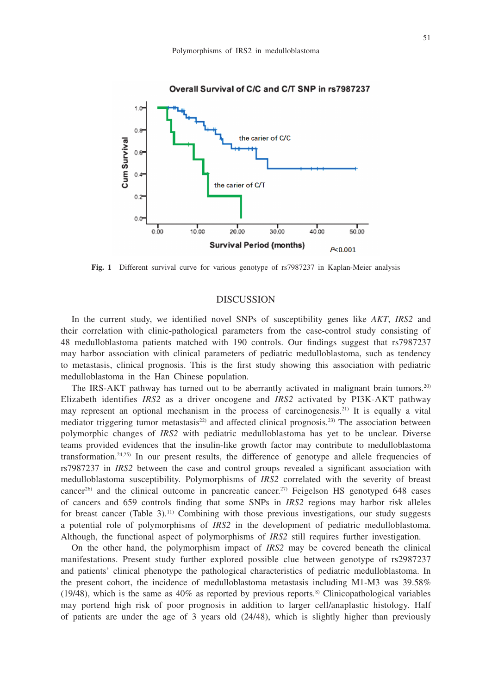

#### Overall Survival of C/C and C/T SNP in rs7987237

**Fig. 1** Different survival curve for various genotype of rs7987237 in Kaplan-Meier analysis

# DISCUSSION

In the current study, we identified novel SNPs of susceptibility genes like *AKT*, *IRS2* and their correlation with clinic-pathological parameters from the case-control study consisting of 48 medulloblastoma patients matched with 190 controls. Our findings suggest that rs7987237 may harbor association with clinical parameters of pediatric medulloblastoma, such as tendency to metastasis, clinical prognosis. This is the first study showing this association with pediatric medulloblastoma in the Han Chinese population.

The IRS-AKT pathway has turned out to be aberrantly activated in malignant brain tumors.<sup>20)</sup> Elizabeth identifies *IRS2* as a driver oncogene and *IRS2* activated by PI3K-AKT pathway may represent an optional mechanism in the process of carcinogenesis.21) It is equally a vital mediator triggering tumor metastasis<sup>22)</sup> and affected clinical prognosis.<sup>23)</sup> The association between polymorphic changes of *IRS2* with pediatric medulloblastoma has yet to be unclear. Diverse teams provided evidences that the insulin-like growth factor may contribute to medulloblastoma transformation.<sup>24,25)</sup> In our present results, the difference of genotype and allele frequencies of rs7987237 in *IRS2* between the case and control groups revealed a significant association with medulloblastoma susceptibility. Polymorphisms of *IRS2* correlated with the severity of breast cancer<sup>26</sup>) and the clinical outcome in pancreatic cancer.<sup>27)</sup> Feigelson HS genotyped 648 cases of cancers and 659 controls finding that some SNPs in *IRS2* regions may harbor risk alleles for breast cancer (Table 3).<sup>11)</sup> Combining with those previous investigations, our study suggests a potential role of polymorphisms of *IRS2* in the development of pediatric medulloblastoma. Although, the functional aspect of polymorphisms of *IRS2* still requires further investigation.

On the other hand, the polymorphism impact of *IRS2* may be covered beneath the clinical manifestations. Present study further explored possible clue between genotype of rs2987237 and patients' clinical phenotype the pathological characteristics of pediatric medulloblastoma. In the present cohort, the incidence of medulloblastoma metastasis including M1-M3 was 39.58% (19/48), which is the same as  $40\%$  as reported by previous reports.<sup>8)</sup> Clinicopathological variables may portend high risk of poor prognosis in addition to larger cell/anaplastic histology. Half of patients are under the age of 3 years old (24/48), which is slightly higher than previously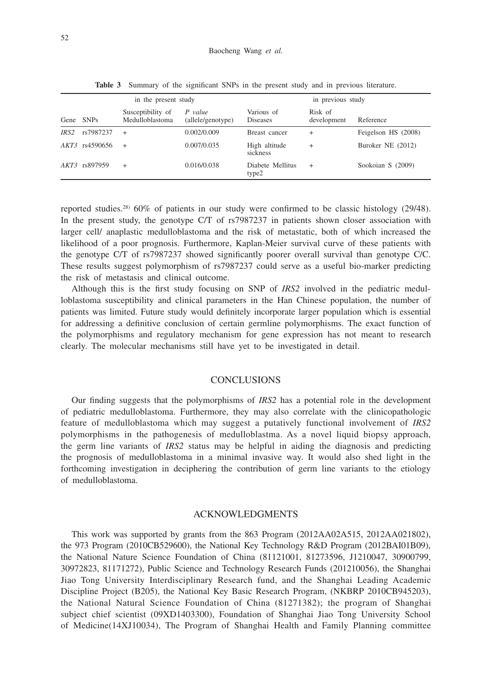| in the present study |                       |                                      |                              | in previous study             |                        |                     |  |  |
|----------------------|-----------------------|--------------------------------------|------------------------------|-------------------------------|------------------------|---------------------|--|--|
|                      | Gene SNPs             | Susceptibility of<br>Medulloblastoma | P value<br>(allele/genotype) | Various of<br><b>Diseases</b> | Risk of<br>development | Reference           |  |  |
| IRS <sub>2</sub>     | rs7987237             | $\ddot{}$                            | 0.002/0.009                  | Breast cancer                 | $\pm$                  | Feigelson HS (2008) |  |  |
|                      | <i>AKT3</i> rs4590656 | $\ddot{}$                            | 0.007/0.035                  | High altitude<br>sickness     | $\pm$                  | Buroker NE (2012)   |  |  |
|                      | AKT3 rs897959         | $\ddot{}$                            | 0.016/0.038                  | Diabete Mellitus<br>type2     | $\ddot{}$              | Sookoian S (2009)   |  |  |

**Table 3** Summary of the significant SNPs in the present study and in previous literature.

reported studies.<sup>28)</sup> 60% of patients in our study were confirmed to be classic histology (29/48). In the present study, the genotype C/T of rs7987237 in patients shown closer association with larger cell/ anaplastic medulloblastoma and the risk of metastatic, both of which increased the likelihood of a poor prognosis. Furthermore, Kaplan-Meier survival curve of these patients with the genotype C/T of rs7987237 showed significantly poorer overall survival than genotype C/C. These results suggest polymorphism of rs7987237 could serve as a useful bio-marker predicting the risk of metastasis and clinical outcome.

Although this is the first study focusing on SNP of *IRS2* involved in the pediatric medulloblastoma susceptibility and clinical parameters in the Han Chinese population, the number of patients was limited. Future study would definitely incorporate larger population which is essential for addressing a definitive conclusion of certain germline polymorphisms. The exact function of the polymorphisms and regulatory mechanism for gene expression has not meant to research clearly. The molecular mechanisms still have yet to be investigated in detail.

# **CONCLUSIONS**

Our finding suggests that the polymorphisms of *IRS2* has a potential role in the development of pediatric medulloblastoma. Furthermore, they may also correlate with the clinicopathologic feature of medulloblastoma which may suggest a putatively functional involvement of *IRS2* polymorphisms in the pathogenesis of medulloblastma. As a novel liquid biopsy approach, the germ line variants of *IRS2* status may be helpful in aiding the diagnosis and predicting the prognosis of medulloblastoma in a minimal invasive way. It would also shed light in the forthcoming investigation in deciphering the contribution of germ line variants to the etiology of medulloblastoma.

# ACKNOWLEDGMENTS

This work was supported by grants from the 863 Program (2012AA02A515, 2012AA021802), the 973 Program (2010CB529600), the National Key Technology R&D Program (2012BAI01B09), the National Nature Science Foundation of China (81121001, 81273596, J1210047, 30900799, 30972823, 81171272), Public Science and Technology Research Funds (201210056), the Shanghai Jiao Tong University Interdisciplinary Research fund, and the Shanghai Leading Academic Discipline Project (B205), the National Key Basic Research Program, (NKBRP 2010CB945203), the National Natural Science Foundation of China (81271382); the program of Shanghai subject chief scientist (09XD1403300), Foundation of Shanghai Jiao Tong University School of Medicine(14XJ10034), The Program of Shanghai Health and Family Planning committee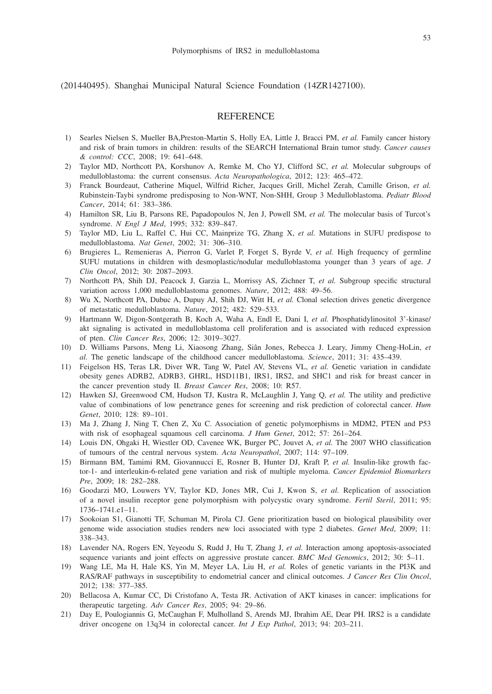(201440495). Shanghai Municipal Natural Science Foundation (14ZR1427100).

# **REFERENCE**

- 1) Searles Nielsen S, Mueller BA,Preston-Martin S, Holly EA, Little J, Bracci PM, *et al.* Family cancer history and risk of brain tumors in children: results of the SEARCH International Brain tumor study. *Cancer causes & control: CCC*, 2008; 19: 641–648.
- 2) Taylor MD, Northcott PA, Korshunov A, Remke M, Cho YJ, Clifford SC, *et al.* Molecular subgroups of medulloblastoma: the current consensus. *Acta Neuropathologica*, 2012; 123: 465–472.
- 3) Franck Bourdeaut, Catherine Miquel, Wilfrid Richer, Jacques Grill, Michel Zerah, Camille Grison, *et al.* Rubinstein-Taybi syndrome predisposing to Non-WNT, Non-SHH, Group 3 Medulloblastoma. *Pediatr Blood Cancer*, 2014; 61: 383–386.
- 4) Hamilton SR, Liu B, Parsons RE, Papadopoulos N, Jen J, Powell SM, *et al.* The molecular basis of Turcot's syndrome. *N Engl J Med*, 1995; 332: 839–847.
- 5) Taylor MD, Liu L, Raffel C, Hui CC, Mainprize TG, Zhang X, *et al.* Mutations in SUFU predispose to medulloblastoma. *Nat Genet*, 2002; 31: 306–310.
- 6) Brugieres L, Remenieras A, Pierron G, Varlet P, Forget S, Byrde V, *et al.* High frequency of germline SUFU mutations in children with desmoplastic/nodular medulloblastoma younger than 3 years of age. *J Clin Oncol*, 2012; 30: 2087–2093.
- 7) Northcott PA, Shih DJ, Peacock J, Garzia L, Morrissy AS, Zichner T, *et al.* Subgroup specific structural variation across 1,000 medulloblastoma genomes. *Nature*, 2012; 488: 49–56.
- 8) Wu X, Northcott PA, Dubuc A, Dupuy AJ, Shih DJ, Witt H, *et al.* Clonal selection drives genetic divergence of metastatic medulloblastoma. *Nature*, 2012; 482: 529–533.
- 9) Hartmann W, Digon-Sontgerath B, Koch A, Waha A, Endl E, Dani I, *et al.* Phosphatidylinositol 3'-kinase/ akt signaling is activated in medulloblastoma cell proliferation and is associated with reduced expression of pten. *Clin Cancer Res*, 2006; 12: 3019–3027.
- 10) D. Williams Parsons, Meng Li, Xiaosong Zhang, Siân Jones, Rebecca J. Leary, Jimmy Cheng-HoLin, *et al.* The genetic landscape of the childhood cancer medulloblastoma. *Science*, 2011; 31: 435–439.
- 11) Feigelson HS, Teras LR, Diver WR, Tang W, Patel AV, Stevens VL, *et al.* Genetic variation in candidate obesity genes ADRB2, ADRB3, GHRL, HSD11B1, IRS1, IRS2, and SHC1 and risk for breast cancer in the cancer prevention study II. *Breast Cancer Res*, 2008; 10: R57.
- 12) Hawken SJ, Greenwood CM, Hudson TJ, Kustra R, McLaughlin J, Yang Q, *et al.* The utility and predictive value of combinations of low penetrance genes for screening and risk prediction of colorectal cancer. *Hum Genet*, 2010; 128: 89–101.
- 13) Ma J, Zhang J, Ning T, Chen Z, Xu C. Association of genetic polymorphisms in MDM2, PTEN and P53 with risk of esophageal squamous cell carcinoma. *J Hum Genet*, 2012; 57: 261–264.
- 14) Louis DN, Ohgaki H, Wiestler OD, Cavenee WK, Burger PC, Jouvet A, *et al.* The 2007 WHO classification of tumours of the central nervous system. *Acta Neuropathol*, 2007; 114: 97–109.
- 15) Birmann BM, Tamimi RM, Giovannucci E, Rosner B, Hunter DJ, Kraft P, *et al.* Insulin-like growth factor-1- and interleukin-6-related gene variation and risk of multiple myeloma. *Cancer Epidemiol Biomarkers Pre*, 2009; 18: 282–288.
- 16) Goodarzi MO, Louwers YV, Taylor KD, Jones MR, Cui J, Kwon S, *et al.* Replication of association of a novel insulin receptor gene polymorphism with polycystic ovary syndrome. *Fertil Steril*, 2011; 95: 1736–1741.e1–11.
- 17) Sookoian S1, Gianotti TF, Schuman M, Pirola CJ. Gene prioritization based on biological plausibility over genome wide association studies renders new loci associated with type 2 diabetes. *Genet Med*, 2009; 11: 338–343.
- 18) Lavender NA, Rogers EN, Yeyeodu S, Rudd J, Hu T, Zhang J, *et al.* Interaction among apoptosis-associated sequence variants and joint effects on aggressive prostate cancer. *BMC Med Genomics*, 2012; 30: 5–11.
- 19) Wang LE, Ma H, Hale KS, Yin M, Meyer LA, Liu H, *et al.* Roles of genetic variants in the PI3K and RAS/RAF pathways in susceptibility to endometrial cancer and clinical outcomes. *J Cancer Res Clin Oncol*, 2012; 138: 377–385.
- 20) Bellacosa A, Kumar CC, Di Cristofano A, Testa JR. Activation of AKT kinases in cancer: implications for therapeutic targeting. *Adv Cancer Res*, 2005; 94: 29–86.
- 21) Day E, Poulogiannis G, McCaughan F, Mulholland S, Arends MJ, Ibrahim AE, Dear PH. IRS2 is a candidate driver oncogene on 13q34 in colorectal cancer. *Int J Exp Pathol*, 2013; 94: 203–211.